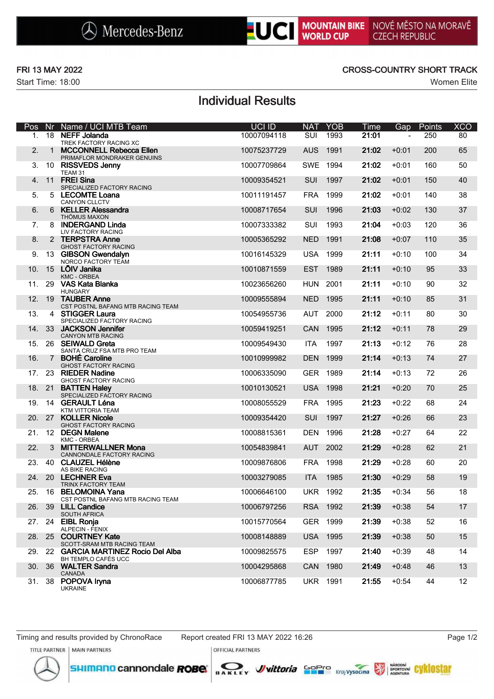Start Time: 18:00 Women Elite

### FRI 13 MAY 2022 CROSS-COUNTRY SHORT TRACK

# Individual Results

| Pos | Nr.            | Name / UCI MTB Team                                           | UCI ID      | <b>NAT</b> | <b>YOB</b>      | Time           | Gap     | Points | <b>XCO</b>      |
|-----|----------------|---------------------------------------------------------------|-------------|------------|-----------------|----------------|---------|--------|-----------------|
| 1.  | 18             | <b>NEFF Jolanda</b><br>TREK FACTORY RACING XC                 | 10007094118 | SUI        | 1993            | 21:01          |         | 250    | 80              |
| 2.  | $\mathbf{1}$   | <b>MCCONNELL Rebecca Ellen</b><br>PRIMAFLOR MONDRAKER GENUINS | 10075237729 | <b>AUS</b> | 1991            | 21:02          | $+0:01$ | 200    | 65              |
| 3.  |                | 10 RISSVEDS Jenny<br>TEAM 31                                  | 10007709864 | <b>SWE</b> | 1994            | 21:02          | $+0:01$ | 160    | 50              |
| 4.  | 11             | <b>FREI Sina</b><br>SPECIALIZED FACTORY RACING                | 10009354521 | SUI        | 1997            | 21:02          | $+0:01$ | 150    | 40              |
| 5.  |                | 5 LECOMTE Loana<br><b>CANYON CLLCTV</b>                       | 10011191457 | <b>FRA</b> | 1999            | 21:02          | $+0:01$ | 140    | 38              |
| 6.  |                | 6 KELLER Alessandra<br>THÖMUS MAXON                           | 10008717654 | SUI        | 1996            | 21:03          | $+0:02$ | 130    | 37              |
| 7.  |                | 8 INDERGAND Linda<br>LIV FACTORY RACING                       | 10007333382 | SUI        | 1993            | 21:04          | $+0:03$ | 120    | 36              |
| 8.  |                | 2 TERPSTRA Anne<br><b>GHOST FACTORY RACING</b>                | 10005365292 | <b>NED</b> | 1991            | 21:08          | $+0:07$ | 110    | 35              |
| 9.  |                | 13 GIBSON Gwendalyn<br>NORCO FACTORY TEAM                     | 10016145329 | <b>USA</b> | 1999            | 21:11          | $+0:10$ | 100    | 34              |
| 10. |                | 15 LÕIV Janika<br><b>KMC - ORBEA</b>                          | 10010871559 | <b>EST</b> | 1989            | 21:11          | $+0:10$ | 95     | 33              |
| 11. |                | 29 VAS Kata Blanka<br><b>HUNGARY</b>                          | 10023656260 | <b>HUN</b> | 2001            | 21:11          | $+0:10$ | 90     | 32              |
| 12. |                | 19 TAUBER Anne<br>CST POSTNL BAFANG MTB RACING TEAM           | 10009555894 | <b>NED</b> | 1995            | 21:11          | $+0:10$ | 85     | 31              |
| 13. |                | 4 STIGGER Laura<br>SPECIALIZED FACTORY RACING                 | 10054955736 | <b>AUT</b> | 2000            | 21:12          | $+0:11$ | 80     | 30              |
| 14. | 33             | <b>JACKSON Jennifer</b><br><b>CANYON MTB RACING</b>           | 10059419251 | CAN        | 1995            | 21:12          | $+0:11$ | 78     | 29              |
| 15. |                | 26 SEIWALD Greta<br>SANTA CRUZ FSA MTB PRO TEAM               | 10009549430 | <b>ITA</b> | 1997            | 21:13          | $+0:12$ | 76     | 28              |
| 16. | $\overline{7}$ | <b>BOHÉ Caroline</b><br><b>GHOST FACTORY RACING</b>           | 10010999982 | <b>DEN</b> | 1999            | 21:14          | $+0:13$ | 74     | 27              |
| 17. |                | 23 RIEDER Nadine<br><b>GHOST FACTORY RACING</b>               | 10006335090 | <b>GER</b> | 1989            | 21:14          | $+0:13$ | 72     | 26              |
| 18. | -21            | <b>BATTEN Haley</b><br>SPECIALIZED FACTORY RACING             | 10010130521 | <b>USA</b> | 1998            | 21:21          | $+0:20$ | 70     | 25              |
| 19. |                | 14 GERAULT Léna<br>KTM VITTORIA TEAM                          | 10008055529 | <b>FRA</b> | 1995            | 21:23          | $+0:22$ | 68     | 24              |
| 20. | -27            | <b>KOLLER Nicole</b><br><b>GHOST FACTORY RACING</b>           | 10009354420 | SUI        | 1997            | 21:27          | $+0:26$ | 66     | 23              |
| 21. |                | 12 DEGN Malene<br><b>KMC - ORBEA</b>                          | 10008815361 | <b>DEN</b> | 1996            | 21:28          | $+0:27$ | 64     | 22              |
| 22. |                | 3 MITTERWALLNER Mona<br>CANNONDALE FACTORY RACING             | 10054839841 | <b>AUT</b> | 2002            | 21:29          | $+0:28$ | 62     | 21              |
| 23. |                | 40 CLAUZEL Hélène<br>AS BIKE RACING                           | 10009876806 | <b>FRA</b> | 1998            | 21:29          | $+0:28$ | 60     | 20              |
| 24. |                | 20 LECHNER Eva<br><b>TRINX FACTORY TEAM</b>                   | 10003279085 | <b>ITA</b> | 1985            | 21:30          | $+0:29$ | 58     | 19              |
|     |                | 25. 16 BELOMOINA Yana<br>CST POSTNL BAFANG MTB RACING TEAM    | 10006646100 |            | <b>UKR 1992</b> | $21:35 + 0:34$ |         | 56     | 18              |
| 26. |                | 39 LILL Candice<br><b>SOUTH AFRICA</b>                        | 10006797256 |            | RSA 1992        | 21:39          | $+0:38$ | 54     | 17              |
|     |                | 27. 24 EIBL Ronja<br><b>ALPECIN - FENIX</b>                   | 10015770564 |            | GER 1999        | 21:39          | $+0:38$ | 52     | 16              |
|     |                | 28. 25 COURTNEY Kate<br>SCOTT-SRAM MTB RACING TEAM            | 10008148889 |            | <b>USA 1995</b> | 21:39          | $+0:38$ | 50     | 15              |
|     |                | 29. 22 GARCIA MARTINEZ Rocio Del Alba<br>BH TEMPLO CAFÉS UCC  | 10009825575 |            | ESP 1997        | 21:40          | $+0:39$ | 48     | 14              |
| 30. |                | 36 WALTER Sandra<br><b>CANADA</b>                             | 10004295868 |            | CAN 1980        | 21:49          | $+0:48$ | 46     | 13              |
| 31. |                | 38 POPOVA Iryna<br><b>UKRAINE</b>                             | 10006877785 |            | <b>UKR 1991</b> | 21:55          | $+0:54$ | 44     | 12 <sup>°</sup> |

**OFFICIAL PARTNERS** 



SHIMANO cannondale **ROBe**